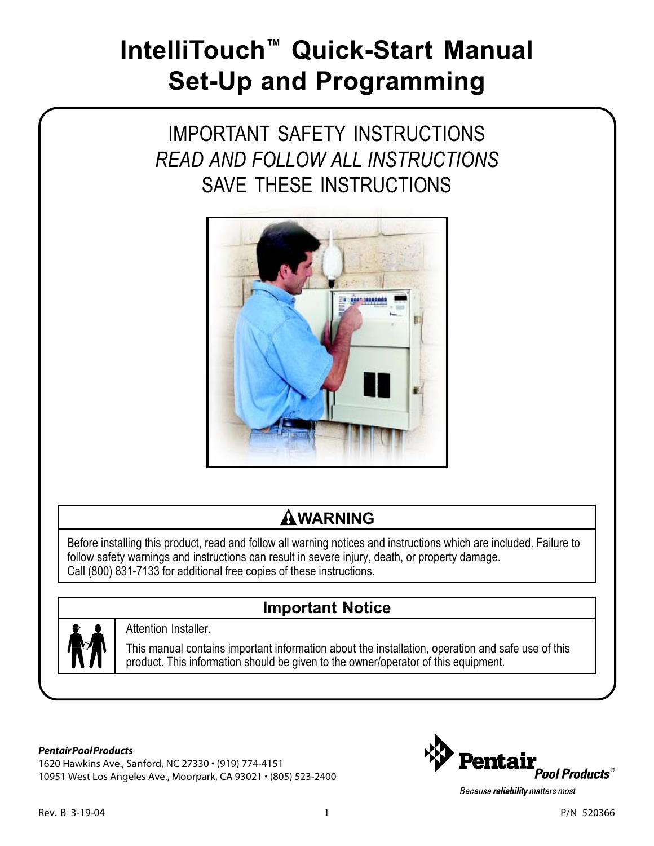# IntelliTouch™ Quick-Start Manual Set-Up and Programming

## IMPORTANT SAFETY INSTRUCTIONS READ AND FOLLOW ALL INSTRUCTIONS SAVE THESE INSTRUCTIONS



### **AWARNING**

Before installing this product, read and follow all warning notices and instructions which are included. Failure to follow safety warnings and instructions can result in severe injury, death, or property damage. Call (800) 831-7133 for additional free copies of these instructions.

### Important Notice



Attention Installer.

This manual contains important information about the installation, operation and safe use of this product. This information should be given to the owner/operator of this equipment.

*Pentair Pool Products*

1620 Hawkins Ave., Sanford, NC 27330 • (919) 774-4151 10951 West Los Angeles Ave., Moorpark, CA 93021 • (805) 523-2400



Because reliability matters most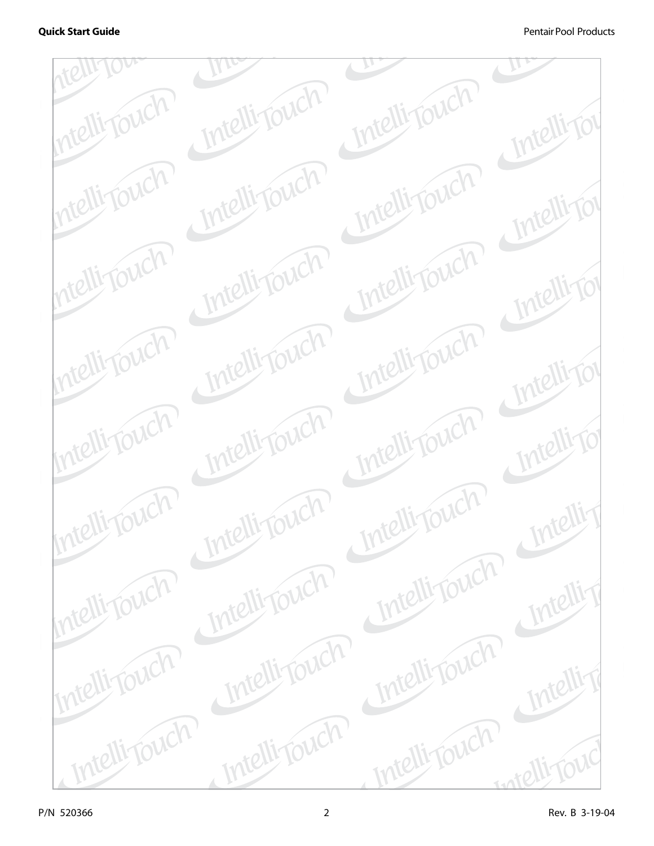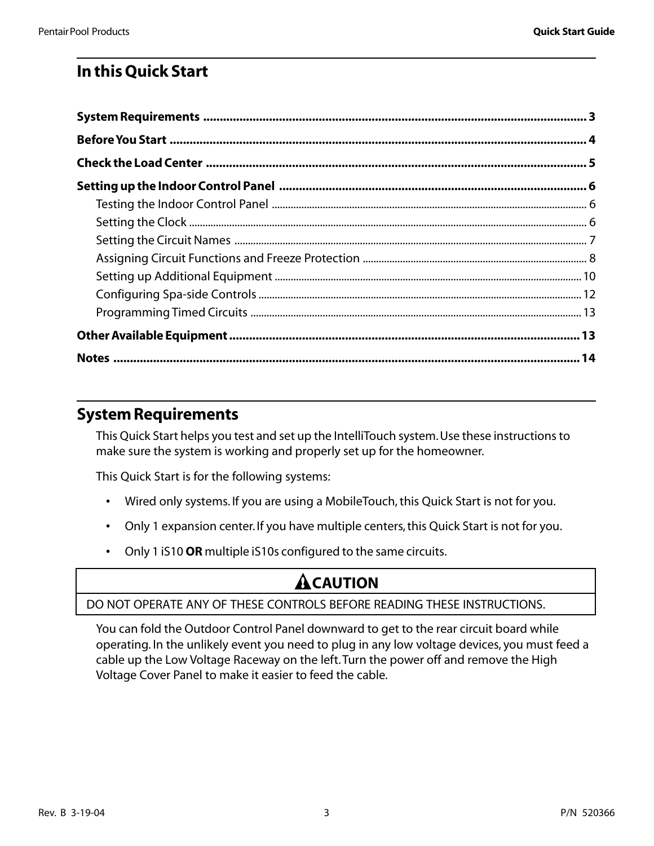### **In this Quick Start**

### **System Requirements**

This Quick Start helps you test and set up the IntelliTouch system. Use these instructions to make sure the system is working and properly set up for the homeowner.

This Quick Start is for the following systems:

- Wired only systems. If you are using a MobileTouch, this Quick Start is not for you.
- Only 1 expansion center. If you have multiple centers, this Quick Start is not for you.
- Only 1 iS10 **OR** multiple iS10s configured to the same circuits.

### **ACAUTION**

#### DO NOT OPERATE ANY OF THESE CONTROLS BEFORE READING THESE INSTRUCTIONS.

You can fold the Outdoor Control Panel downward to get to the rear circuit board while operating. In the unlikely event you need to plug in any low voltage devices, you must feed a cable up the Low Voltage Raceway on the left. Turn the power off and remove the High Voltage Cover Panel to make it easier to feed the cable.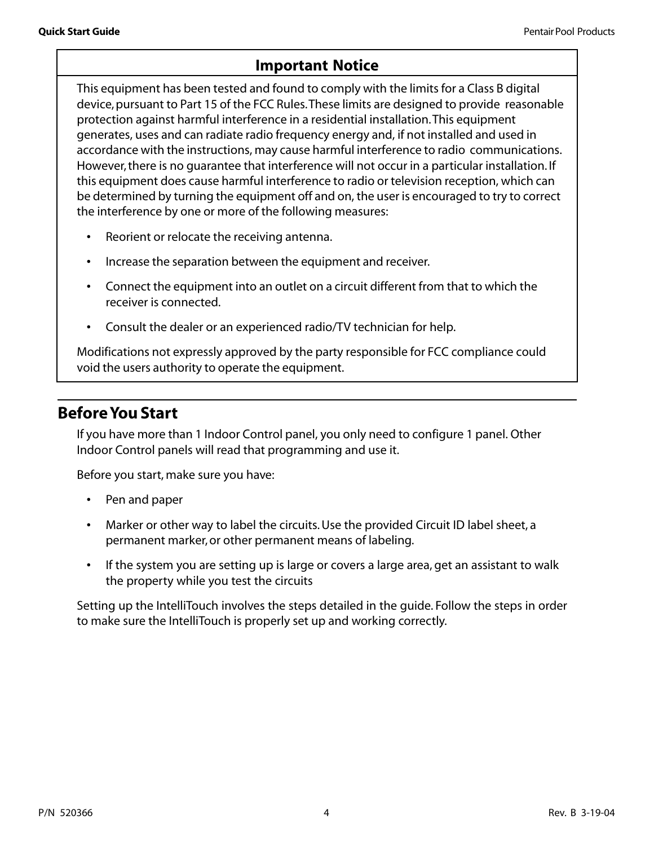### **Important Notice**

This equipment has been tested and found to comply with the limits for a Class B digital device, pursuant to Part 15 of the FCC Rules. These limits are designed to provide reasonable protection against harmful interference in a residential installation. This equipment generates, uses and can radiate radio frequency energy and, if not installed and used in accordance with the instructions, may cause harmful interference to radio communications. However, there is no guarantee that interference will not occur in a particular installation. If this equipment does cause harmful interference to radio or television reception, which can be determined by turning the equipment off and on, the user is encouraged to try to correct the interference by one or more of the following measures:

- Reorient or relocate the receiving antenna.
- Increase the separation between the equipment and receiver.
- Connect the equipment into an outlet on a circuit different from that to which the receiver is connected.
- Consult the dealer or an experienced radio/TV technician for help.

Modifications not expressly approved by the party responsible for FCC compliance could void the users authority to operate the equipment.

### **Before You Start**

If you have more than 1 Indoor Control panel, you only need to configure 1 panel. Other Indoor Control panels will read that programming and use it.

Before you start, make sure you have:

- Pen and paper
- Marker or other way to label the circuits. Use the provided Circuit ID label sheet, a permanent marker, or other permanent means of labeling.
- If the system you are setting up is large or covers a large area, get an assistant to walk the property while you test the circuits

Setting up the IntelliTouch involves the steps detailed in the guide. Follow the steps in order to make sure the IntelliTouch is properly set up and working correctly.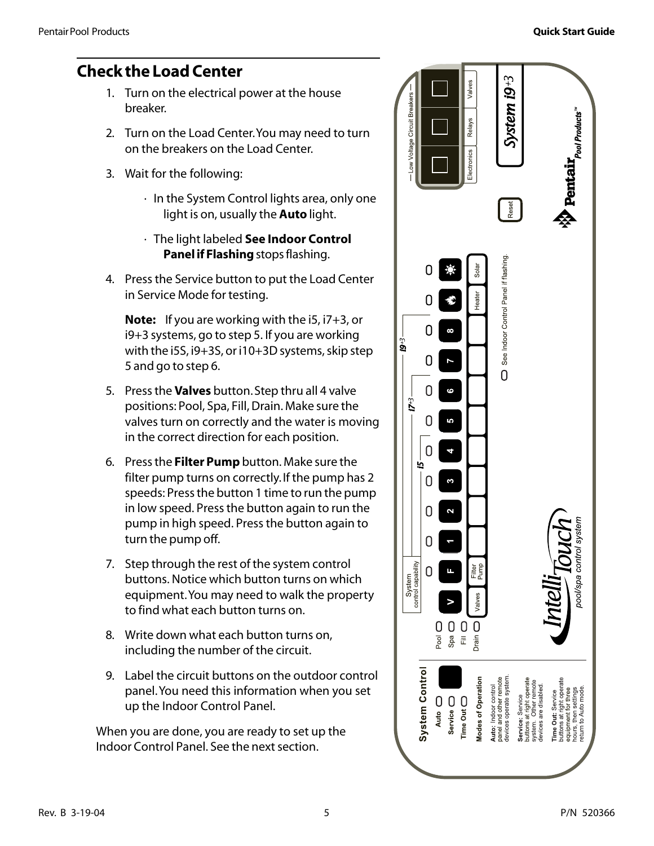### **Check the Load Center**

- 1. Turn on the electrical power at the house breaker.
- 2. Turn on the Load Center. You may need to turn on the breakers on the Load Center.
- 3. Wait for the following:
	- · In the System Control lights area, only one light is on, usually the **Auto** light.
	- · The light labeled **See Indoor Control Panel if Flashing** stops flashing.
- 4. Press the Service button to put the Load Center in Service Mode for testing.

**Note:** If you are working with the i5, i7+3, or i9+3 systems, go to step 5. If you are working with the i5S, i9+3S, or i10+3D systems, skip step 5 and go to step 6.

- 5. Press the **Valves** button. Step thru all 4 valve positions: Pool, Spa, Fill, Drain. Make sure the valves turn on correctly and the water is moving in the correct direction for each position.
- 6. Press the **Filter Pump** button. Make sure the filter pump turns on correctly. If the pump has 2 speeds: Press the button 1 time to run the pump in low speed. Press the button again to run the pump in high speed. Press the button again to turn the pump off.
- 7. Step through the rest of the system control buttons. Notice which button turns on which equipment. You may need to walk the property to find what each button turns on.
- 8. Write down what each button turns on, including the number of the circuit.
- 9. Label the circuit buttons on the outdoor control panel. You need this information when you set up the Indoor Control Panel.

When you are done, you are ready to set up the Indoor Control Panel. See the next section.

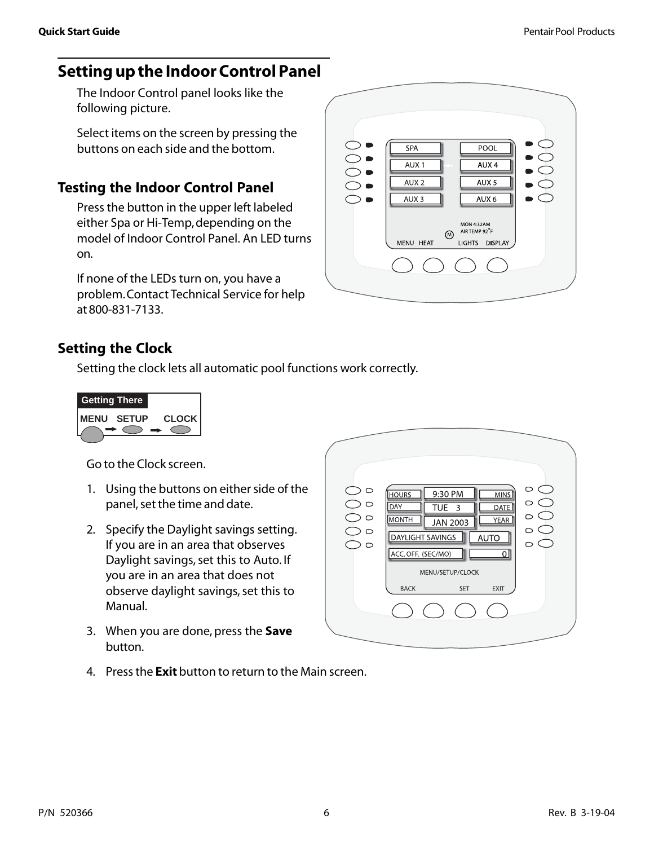### **Setting up the Indoor Control Panel**

The Indoor Control panel looks like the following picture.

Select items on the screen by pressing the buttons on each side and the bottom.

### **Testing the Indoor Control Panel**

Press the button in the upper left labeled either Spa or Hi-Temp, depending on the model of Indoor Control Panel. An LED turns on.

If none of the LEDs turn on, you have a problem. Contact Technical Service for help at 800-831-7133.

| POOL<br>SPA<br>AUX <sub>1</sub><br>AUX 4<br>AUX <sub>2</sub><br>AUX <sub>5</sub><br>AUX <sub>3</sub><br>AUX 6<br><b>MON 4:32AM</b><br>AIR TEMP 92°F<br>⑩<br><b>LIGHTS</b><br><b>DISPLAY</b><br>MENU HEAT |
|----------------------------------------------------------------------------------------------------------------------------------------------------------------------------------------------------------|
|                                                                                                                                                                                                          |

#### **Setting the Clock**

Setting the clock lets all automatic pool functions work correctly.



Go to the Clock screen.

- 1. Using the buttons on either side of the panel, set the time and date.
- 2. Specify the Daylight savings setting. If you are in an area that observes Daylight savings, set this to Auto. If you are in an area that does not observe daylight savings, set this to Manual.
- 3. When you are done, press the **Save** button.

4. Press the **Exit** button to return to the Main screen.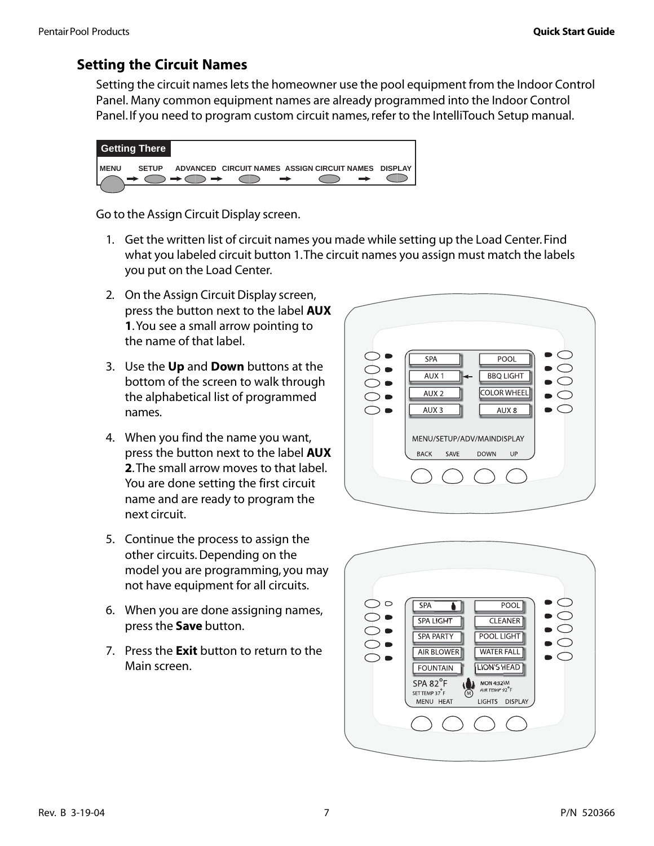### **Setting the Circuit Names**

Setting the circuit names lets the homeowner use the pool equipment from the Indoor Control Panel. Many common equipment names are already programmed into the Indoor Control Panel. If you need to program custom circuit names, refer to the IntelliTouch Setup manual.

| ADVANCED CIRCUIT NAMES ASSIGN CIRCUIT NAMES DISPLAY<br>l MENU<br><b>SETUP</b> | <b>Getting There</b> |  |  |  |
|-------------------------------------------------------------------------------|----------------------|--|--|--|
|                                                                               |                      |  |  |  |

Go to the Assign Circuit Display screen.

- 1. Get the written list of circuit names you made while setting up the Load Center. Find what you labeled circuit button 1. The circuit names you assign must match the labels you put on the Load Center.
- 2. On the Assign Circuit Display screen, press the button next to the label **AUX 1**. You see a small arrow pointing to the name of that label.
- 3. Use the **Up** and **Down** buttons at the bottom of the screen to walk through the alphabetical list of programmed names.
- 4. When you find the name you want, press the button next to the label **AUX 2**. The small arrow moves to that label. You are done setting the first circuit name and are ready to program the next circuit.
- 5. Continue the process to assign the other circuits. Depending on the model you are programming, you may not have equipment for all circuits.
- 6. When you are done assigning names, press the **Save** button.
- 7. Press the **Exit** button to return to the Main screen.



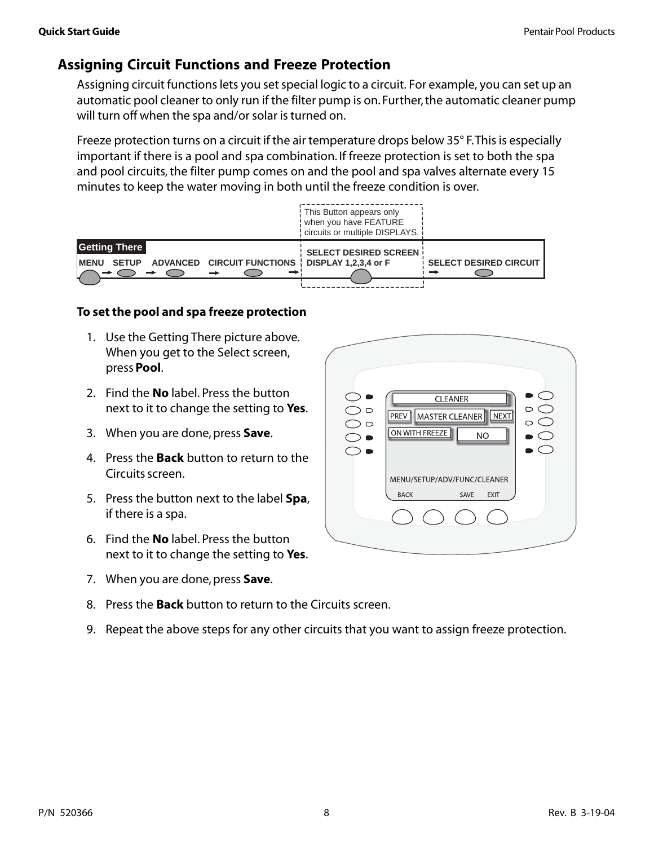#### **Assigning Circuit Functions and Freeze Protection**

Assigning circuit functions lets you set special logic to a circuit. For example, you can set up an automatic pool cleaner to only run if the filter pump is on. Further, the automatic cleaner pump will turn off when the spa and/or solar is turned on.

Freeze protection turns on a circuit if the air temperature drops below 35° F. This is especially important if there is a pool and spa combination. If freeze protection is set to both the spa and pool circuits, the filter pump comes on and the pool and spa valves alternate every 15 minutes to keep the water moving in both until the freeze condition is over.

|                                                                                                          | when you have FEATURE<br>circuits or multiple DISPLAYS. |                               |
|----------------------------------------------------------------------------------------------------------|---------------------------------------------------------|-------------------------------|
| <b>Getting There</b><br>ADVANCED CIRCUIT FUNCTIONS   DISPLAY 1,2,3,4 or F<br><b>MENU</b><br><b>SETUP</b> | SELECT DESIRED SCREEN                                   | <b>SELECT DESIRED CIRCUIT</b> |

#### **To set the pool and spa freeze protection**

- 1. Use the Getting There picture above. When you get to the Select screen, press **Pool**.
- 2. Find the **No** label. Press the button next to it to change the setting to **Yes**.
- 3. When you are done, press **Save**.
- 4. Press the **Back** button to return to the Circuits screen.
- 5. Press the button next to the label **Spa**, if there is a spa.
- 6. Find the **No** label. Press the button next to it to change the setting to **Yes**.
- 7. When you are done, press **Save**.
- 8. Press the **Back** button to return to the Circuits screen.
- 9. Repeat the above steps for any other circuits that you want to assign freeze protection.

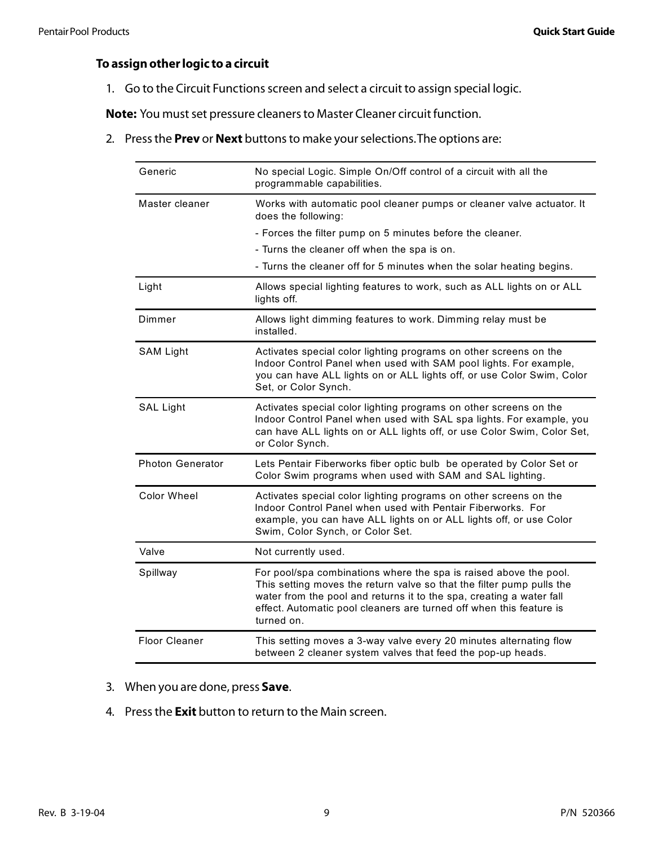#### **To assign other logic to a circuit**

1. Go to the Circuit Functions screen and select a circuit to assign special logic.

**Note:** You must set pressure cleaners to Master Cleaner circuit function.

2. Press the **Prev** or **Next** buttons to make your selections. The options are:

| Generic                 | No special Logic. Simple On/Off control of a circuit with all the<br>programmable capabilities.                                                                                                                                                                                                         |
|-------------------------|---------------------------------------------------------------------------------------------------------------------------------------------------------------------------------------------------------------------------------------------------------------------------------------------------------|
| Master cleaner          | Works with automatic pool cleaner pumps or cleaner valve actuator. It<br>does the following:                                                                                                                                                                                                            |
|                         | - Forces the filter pump on 5 minutes before the cleaner.                                                                                                                                                                                                                                               |
|                         | - Turns the cleaner off when the spa is on.                                                                                                                                                                                                                                                             |
|                         | - Turns the cleaner off for 5 minutes when the solar heating begins.                                                                                                                                                                                                                                    |
| Light                   | Allows special lighting features to work, such as ALL lights on or ALL<br>lights off.                                                                                                                                                                                                                   |
| Dimmer                  | Allows light dimming features to work. Dimming relay must be<br>installed.                                                                                                                                                                                                                              |
| <b>SAM Light</b>        | Activates special color lighting programs on other screens on the<br>Indoor Control Panel when used with SAM pool lights. For example,<br>you can have ALL lights on or ALL lights off, or use Color Swim, Color<br>Set, or Color Synch.                                                                |
| <b>SAL Light</b>        | Activates special color lighting programs on other screens on the<br>Indoor Control Panel when used with SAL spa lights. For example, you<br>can have ALL lights on or ALL lights off, or use Color Swim, Color Set,<br>or Color Synch.                                                                 |
| <b>Photon Generator</b> | Lets Pentair Fiberworks fiber optic bulb be operated by Color Set or<br>Color Swim programs when used with SAM and SAL lighting.                                                                                                                                                                        |
| <b>Color Wheel</b>      | Activates special color lighting programs on other screens on the<br>Indoor Control Panel when used with Pentair Fiberworks. For<br>example, you can have ALL lights on or ALL lights off, or use Color<br>Swim, Color Synch, or Color Set.                                                             |
| Valve                   | Not currently used.                                                                                                                                                                                                                                                                                     |
| Spillway                | For pool/spa combinations where the spa is raised above the pool.<br>This setting moves the return valve so that the filter pump pulls the<br>water from the pool and returns it to the spa, creating a water fall<br>effect. Automatic pool cleaners are turned off when this feature is<br>turned on. |
| <b>Floor Cleaner</b>    | This setting moves a 3-way valve every 20 minutes alternating flow<br>between 2 cleaner system valves that feed the pop-up heads.                                                                                                                                                                       |

#### 3. When you are done, press **Save**.

4. Press the **Exit** button to return to the Main screen.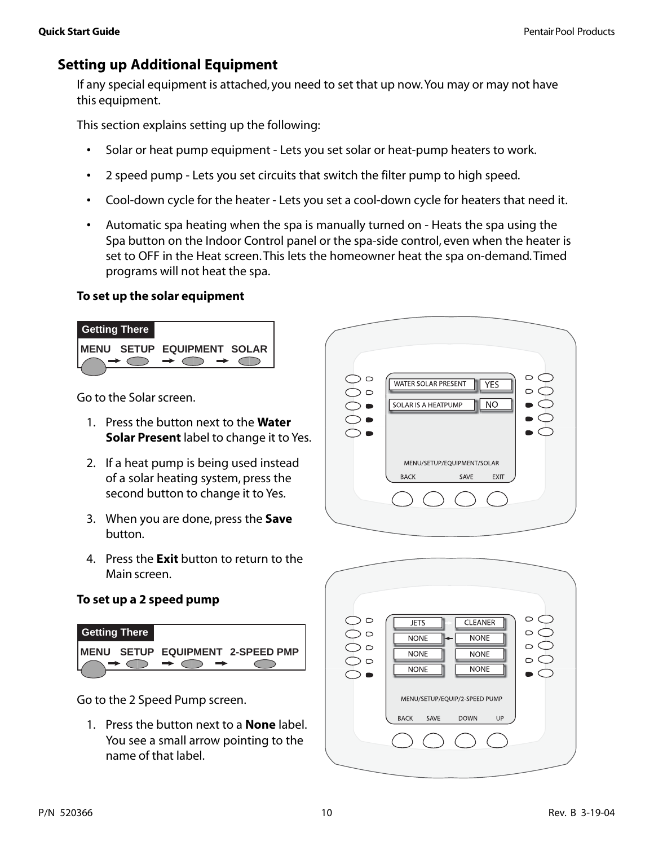#### **Setting up Additional Equipment**

If any special equipment is attached, you need to set that up now. You may or may not have this equipment.

This section explains setting up the following:

- Solar or heat pump equipment Lets you set solar or heat-pump heaters to work.
- 2 speed pump Lets you set circuits that switch the filter pump to high speed.
- Cool-down cycle for the heater Lets you set a cool-down cycle for heaters that need it.
- Automatic spa heating when the spa is manually turned on Heats the spa using the Spa button on the Indoor Control panel or the spa-side control, even when the heater is set to OFF in the Heat screen. This lets the homeowner heat the spa on-demand. Timed programs will not heat the spa.

#### **To set up the solar equipment**



Go to the Solar screen.

- 1. Press the button next to the **Water Solar Present** label to change it to Yes.
- 2. If a heat pump is being used instead of a solar heating system, press the second button to change it to Yes.
- 3. When you are done, press the **Save** button.
- 4. Press the **Exit** button to return to the Main screen.

#### **To set up a 2 speed pump**



Go to the 2 Speed Pump screen.

1. Press the button next to a **None** label. You see a small arrow pointing to the name of that label.



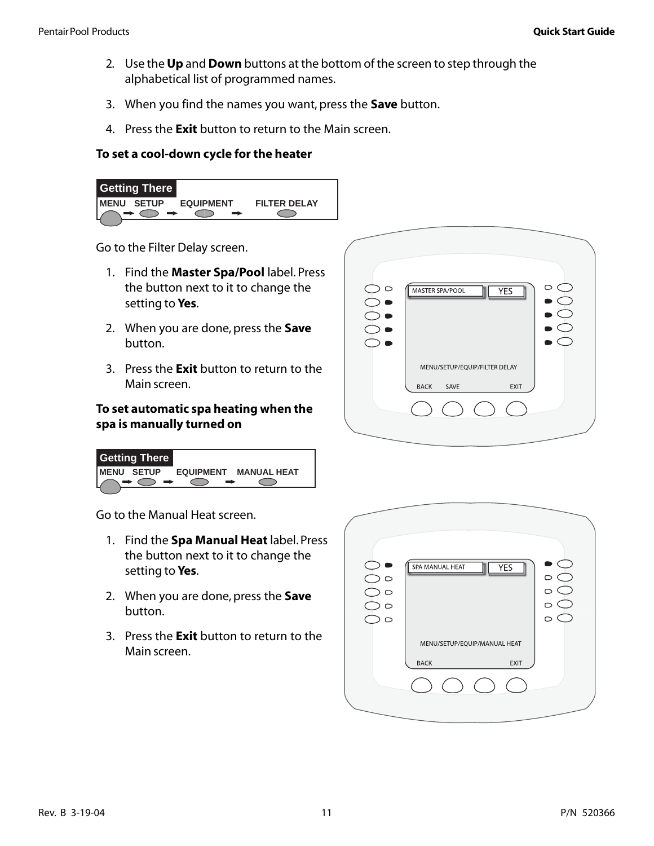- 2. Use the **Up** and **Down** buttons at the bottom of the screen to step through the alphabetical list of programmed names.
- 3. When you find the names you want, press the **Save** button.
- 4. Press the **Exit** button to return to the Main screen.

#### **To set a cool-down cycle for the heater**



Go to the Filter Delay screen.

- 1. Find the **Master Spa/Pool** label. Press the button next to it to change the setting to **Yes**.
- 2. When you are done, press the **Save** button.
- 3. Press the **Exit** button to return to the Main screen.

#### **To set automatic spa heating when the spa is manually turned on**



Go to the Manual Heat screen.

- 1. Find the **Spa Manual Heat** label. Press the button next to it to change the setting to **Yes**.
- 2. When you are done, press the **Save** button.
- 3. Press the **Exit** button to return to the Main screen.



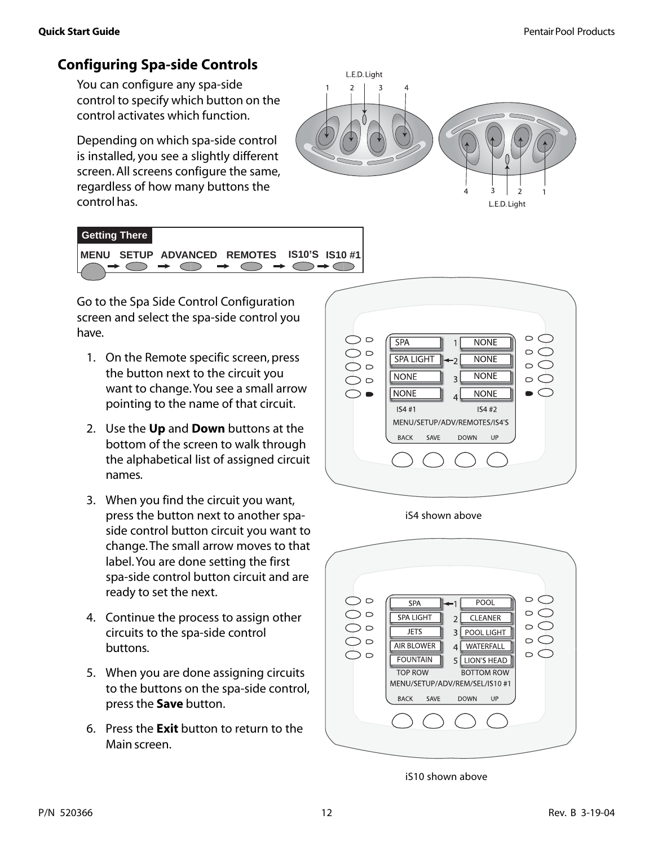### **Configuring Spa-side Controls**

You can configure any spa-side control to specify which button on the control activates which function.

Depending on which spa-side control is installed, you see a slightly different screen. All screens configure the same, regardless of how many buttons the control has.



#### **Getting There**

**MENU SETUP ADVANCED REMOTES IS10'S IS10 #1**  $\bigcirc$  $\rightarrow$  $\bigcirc$  $\rightarrow$  ( )  $\rightarrow$  (

Go to the Spa Side Control Configuration screen and select the spa-side control you have.

- 1. On the Remote specific screen, press the button next to the circuit you want to change. You see a small arrow pointing to the name of that circuit.
- 2. Use the **Up** and **Down** buttons at the bottom of the screen to walk through the alphabetical list of assigned circuit names.
- 3. When you find the circuit you want, press the button next to another spaside control button circuit you want to change. The small arrow moves to that label. You are done setting the first spa-side control button circuit and are ready to set the next.
- 4. Continue the process to assign other circuits to the spa-side control buttons.
- 5. When you are done assigning circuits to the buttons on the spa-side control, press the **Save** button.
- 6. Press the **Exit** button to return to the Main screen.



#### iS4 shown above



iS10 shown above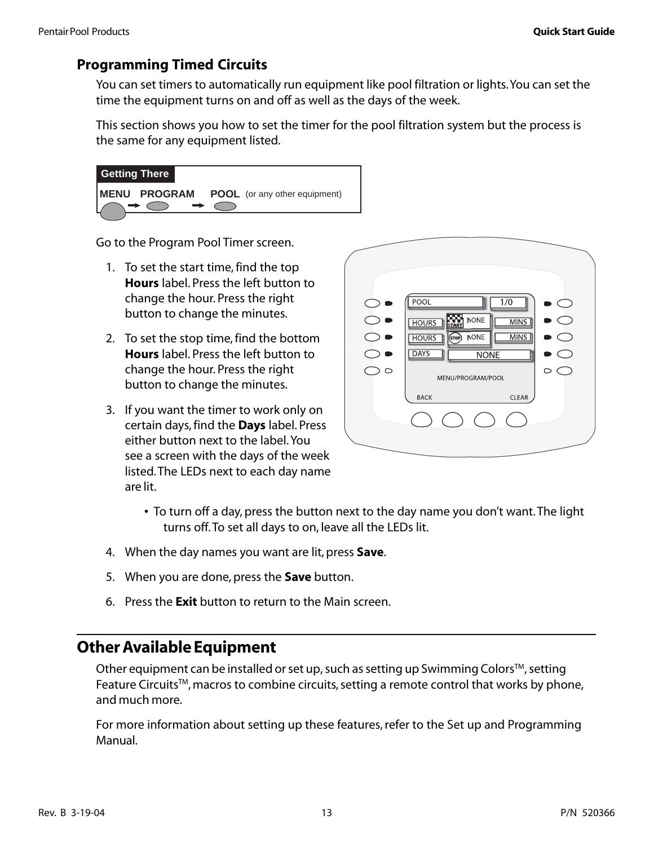#### **Programming Timed Circuits**

You can set timers to automatically run equipment like pool filtration or lights. You can set the time the equipment turns on and off as well as the days of the week.

This section shows you how to set the timer for the pool filtration system but the process is the same for any equipment listed.



Go to the Program Pool Timer screen.

- 1. To set the start time, find the top **Hours** label. Press the left button to change the hour. Press the right button to change the minutes.
- 2. To set the stop time, find the bottom **Hours** label. Press the left button to change the hour. Press the right button to change the minutes.
- 3. If you want the timer to work only on certain days, find the **Days** label. Press either button next to the label. You see a screen with the days of the week listed. The LEDs next to each day name are lit.



- To turn off a day, press the button next to the day name you don't want. The light turns off. To set all days to on, leave all the LEDs lit.
- 4. When the day names you want are lit, press **Save**.
- 5. When you are done, press the **Save** button.
- 6. Press the **Exit** button to return to the Main screen.

### **Other Available Equipment**

Other equipment can be installed or set up, such as setting up Swimming Colors<sup>™</sup>, setting Feature Circuits™, macros to combine circuits, setting a remote control that works by phone, and much more.

For more information about setting up these features, refer to the Set up and Programming Manual.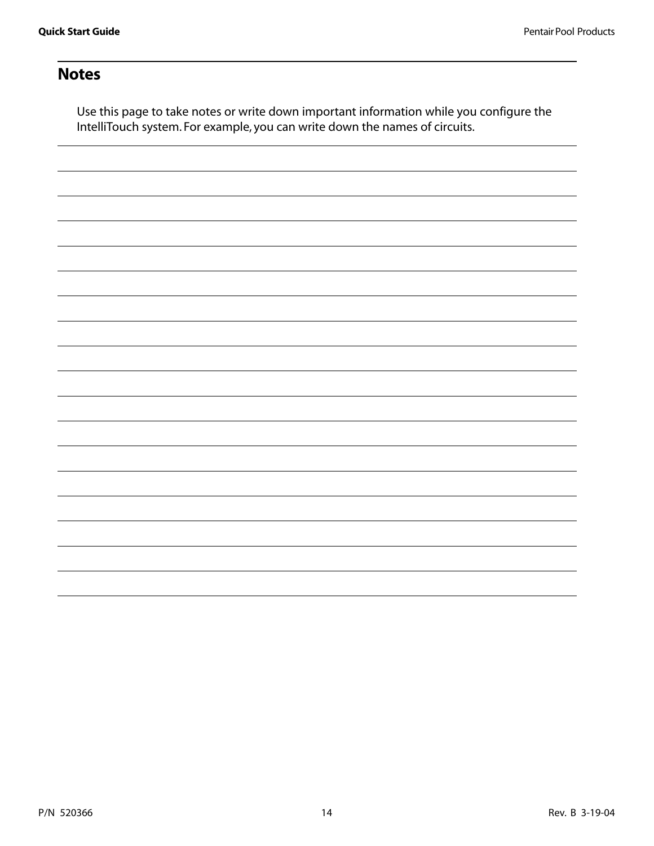### **Notes**

Use this page to take notes or write down important information while you configure the IntelliTouch system. For example, you can write down the names of circuits.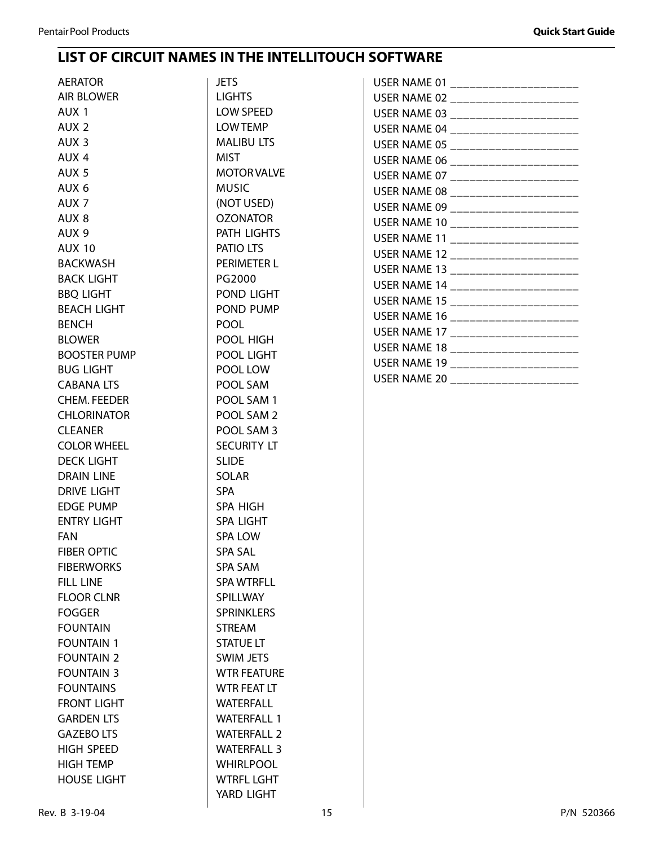### **LIST OF CIRCUIT NAMES IN THE INTELLITOUCH SOFTWARE**

| <b>AERATOR</b>      | <b>JETS</b>        | USER NAME 01 ________________________  |
|---------------------|--------------------|----------------------------------------|
| <b>AIR BLOWER</b>   | <b>LIGHTS</b>      | USER NAME 02 _________________________ |
| AUX <sub>1</sub>    | LOW SPEED          | USER NAME 03 _______________________   |
| AUX <sub>2</sub>    | <b>LOWTEMP</b>     | USER NAME 04 ________________________  |
| AUX <sub>3</sub>    | <b>MALIBU LTS</b>  | USER NAME 05 _______________________   |
| AUX <sub>4</sub>    | MIST               | USER NAME 06 _______________________   |
| AUX <sub>5</sub>    | <b>MOTOR VALVE</b> | USER NAME 07 _________________________ |
| AUX 6               | <b>MUSIC</b>       | USER NAME 08 _______________________   |
| AUX <sub>7</sub>    | (NOT USED)         | USER NAME 09 _______________________   |
| AUX <sub>8</sub>    | <b>OZONATOR</b>    | USER NAME 10 _______________________   |
| AUX <sub>9</sub>    | PATH LIGHTS        | USER NAME 11 ________________________  |
| <b>AUX 10</b>       | PATIO LTS          |                                        |
| <b>BACKWASH</b>     | <b>PERIMETER L</b> | USER NAME 12 _________________________ |
| <b>BACK LIGHT</b>   | PG2000             | USER NAME 13 _______________________   |
| <b>BBQ LIGHT</b>    | POND LIGHT         | USER NAME 14 _________________________ |
| <b>BEACH LIGHT</b>  | POND PUMP          | USER NAME 15 _______________________   |
| <b>BENCH</b>        | <b>POOL</b>        | USER NAME 16 ________________________  |
| <b>BLOWER</b>       | POOL HIGH          | USER NAME 17 ________________________  |
| <b>BOOSTER PUMP</b> | POOL LIGHT         | USER NAME 18 _______________________   |
| <b>BUG LIGHT</b>    | POOL LOW           | USER NAME 19 ________________________  |
| <b>CABANALTS</b>    | POOL SAM           | USER NAME 20 ________________________  |
| <b>CHEM. FEEDER</b> | POOL SAM 1         |                                        |
| <b>CHLORINATOR</b>  | POOL SAM 2         |                                        |
| <b>CLEANER</b>      | POOL SAM 3         |                                        |
| <b>COLOR WHEEL</b>  | <b>SECURITY LT</b> |                                        |
| <b>DECK LIGHT</b>   | <b>SLIDE</b>       |                                        |
| <b>DRAIN LINE</b>   | <b>SOLAR</b>       |                                        |
| <b>DRIVE LIGHT</b>  | <b>SPA</b>         |                                        |
| <b>EDGE PUMP</b>    | SPA HIGH           |                                        |
| <b>ENTRY LIGHT</b>  | <b>SPA LIGHT</b>   |                                        |
| <b>FAN</b>          | <b>SPA LOW</b>     |                                        |
| <b>FIBER OPTIC</b>  | <b>SPA SAL</b>     |                                        |
| <b>FIBERWORKS</b>   | SPA SAM            |                                        |
| <b>FILL LINE</b>    | <b>SPA WTRFLL</b>  |                                        |
| <b>FLOOR CLNR</b>   | SPILLWAY           |                                        |
| <b>FOGGER</b>       | <b>SPRINKLERS</b>  |                                        |
| <b>FOUNTAIN</b>     | <b>STREAM</b>      |                                        |
| <b>FOUNTAIN 1</b>   | <b>STATUE LT</b>   |                                        |
| <b>FOUNTAIN 2</b>   | <b>SWIM JETS</b>   |                                        |
| <b>FOUNTAIN 3</b>   | <b>WTR FEATURE</b> |                                        |
| <b>FOUNTAINS</b>    | <b>WTR FEAT LT</b> |                                        |
| <b>FRONT LIGHT</b>  | <b>WATERFALL</b>   |                                        |
| <b>GARDEN LTS</b>   | <b>WATERFALL 1</b> |                                        |
| <b>GAZEBO LTS</b>   | <b>WATERFALL 2</b> |                                        |
| <b>HIGH SPEED</b>   | <b>WATERFALL 3</b> |                                        |
| <b>HIGH TEMP</b>    | <b>WHIRLPOOL</b>   |                                        |
| <b>HOUSE LIGHT</b>  | <b>WTRFL LGHT</b>  |                                        |
|                     | YARD LIGHT         |                                        |

 $\overline{\phantom{a}}$